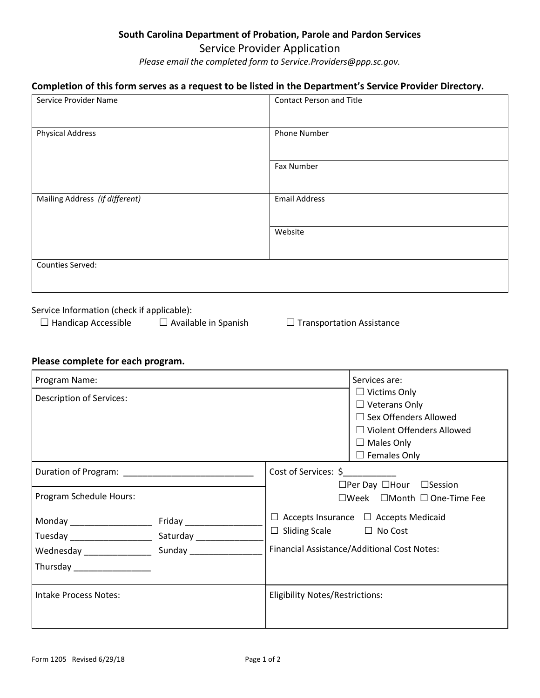## **South Carolina Department of Probation, Parole and Pardon Services**

## Service Provider Application

*Please email the completed form to Service.Providers@ppp.sc.gov.* 

## **Completion of this form serves as a request to be listed in the Department's Service Provider Directory.**

| Service Provider Name          | <b>Contact Person and Title</b> |  |
|--------------------------------|---------------------------------|--|
|                                |                                 |  |
| <b>Physical Address</b>        | Phone Number                    |  |
|                                |                                 |  |
|                                | Fax Number                      |  |
|                                |                                 |  |
| Mailing Address (if different) | <b>Email Address</b>            |  |
|                                |                                 |  |
|                                | Website                         |  |
|                                |                                 |  |
| Counties Served:               |                                 |  |
|                                |                                 |  |

Service Information (check if applicable):

☐ Handicap Accessible ☐ Available in Spanish ☐ Transportation Assistance

## **Please complete for each program.**

| Program Name:                | Services are:                                                                                                                                               |  |
|------------------------------|-------------------------------------------------------------------------------------------------------------------------------------------------------------|--|
| Description of Services:     | $\Box$ Victims Only<br>$\Box$ Veterans Only<br>$\Box$ Sex Offenders Allowed<br>$\Box$ Violent Offenders Allowed<br>$\Box$ Males Only<br>$\Box$ Females Only |  |
|                              | Cost of Services: \$<br>$\Box$ Per Day $\Box$ Hour $\Box$ Session                                                                                           |  |
| Program Schedule Hours:      | $\square$ Week $\square$ Month $\square$ One-Time Fee                                                                                                       |  |
| Thursday _________________   | $\Box$ Accepts Insurance $\Box$ Accepts Medicaid<br>$\Box$ Sliding Scale $\Box$ No Cost<br>Financial Assistance/Additional Cost Notes:                      |  |
| <b>Intake Process Notes:</b> | <b>Eligibility Notes/Restrictions:</b>                                                                                                                      |  |